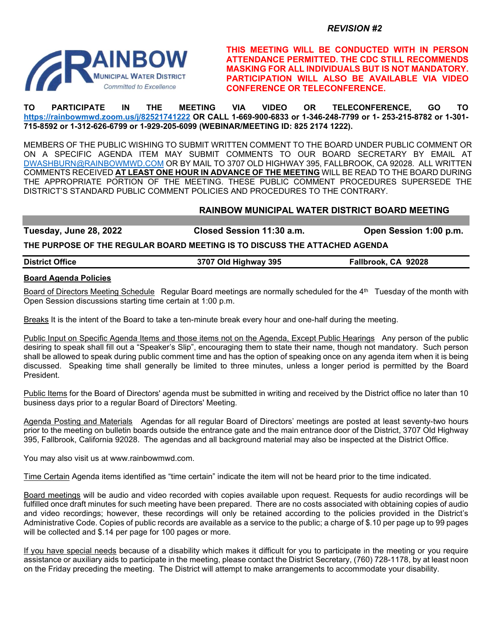#### *REVISION #2*



**THIS MEETING WILL BE CONDUCTED WITH IN PERSON ATTENDANCE PERMITTED. THE CDC STILL RECOMMENDS MASKING FOR ALL INDIVIDUALS BUT IS NOT MANDATORY. PARTICIPATION WILL ALSO BE AVAILABLE VIA VIDEO CONFERENCE OR TELECONFERENCE.** 

**TO PARTICIPATE IN THE MEETING VIA VIDEO OR TELECONFERENCE, GO TO <https://rainbowmwd.zoom.us/j/82521741222> OR CALL 1-669-900-6833 or 1-346-248-7799 or 1- 253-215-8782 or 1-301- 715-8592 or 1-312-626-6799 or 1-929-205-6099 (WEBINAR/MEETING ID: 825 2174 1222).**

MEMBERS OF THE PUBLIC WISHING TO SUBMIT WRITTEN COMMENT TO THE BOARD UNDER PUBLIC COMMENT OR ON A SPECIFIC AGENDA ITEM MAY SUBMIT COMMENTS TO OUR BOARD SECRETARY BY EMAIL AT [DWASHBURN@RAINBOWMWD.COM](mailto:DWASHBURN@RAINBOWMWD.COM) OR BY MAIL TO 3707 OLD HIGHWAY 395, FALLBROOK, CA 92028. ALL WRITTEN COMMENTS RECEIVED **AT LEAST ONE HOUR IN ADVANCE OF THE MEETING** WILL BE READ TO THE BOARD DURING THE APPROPRIATE PORTION OF THE MEETING. THESE PUBLIC COMMENT PROCEDURES SUPERSEDE THE DISTRICT'S STANDARD PUBLIC COMMENT POLICIES AND PROCEDURES TO THE CONTRARY.

### **RAINBOW MUNICIPAL WATER DISTRICT BOARD MEETING**

**Tuesday, June 28, 2022 Closed Session 11:30 a.m. Open Session 1:00 p.m.** 

**THE PURPOSE OF THE REGULAR BOARD MEETING IS TO DISCUSS THE ATTACHED AGENDA**

| <b>District Office</b> | 3707 Old Highway 395 | Fallbrook, CA 92028 |
|------------------------|----------------------|---------------------|

#### **Board Agenda Policies**

Board of Directors Meeting Schedule Regular Board meetings are normally scheduled for the 4<sup>th</sup> Tuesday of the month with Open Session discussions starting time certain at 1:00 p.m.

Breaks It is the intent of the Board to take a ten-minute break every hour and one-half during the meeting.

Public Input on Specific Agenda Items and those items not on the Agenda, Except Public Hearings Any person of the public desiring to speak shall fill out a "Speaker's Slip", encouraging them to state their name, though not mandatory. Such person shall be allowed to speak during public comment time and has the option of speaking once on any agenda item when it is being discussed. Speaking time shall generally be limited to three minutes, unless a longer period is permitted by the Board President.

Public Items for the Board of Directors' agenda must be submitted in writing and received by the District office no later than 10 business days prior to a regular Board of Directors' Meeting.

Agenda Posting and Materials Agendas for all regular Board of Directors' meetings are posted at least seventy-two hours prior to the meeting on bulletin boards outside the entrance gate and the main entrance door of the District, 3707 Old Highway 395, Fallbrook, California 92028. The agendas and all background material may also be inspected at the District Office.

You may also visit us at www.rainbowmwd.com.

Time Certain Agenda items identified as "time certain" indicate the item will not be heard prior to the time indicated.

Board meetings will be audio and video recorded with copies available upon request. Requests for audio recordings will be fulfilled once draft minutes for such meeting have been prepared. There are no costs associated with obtaining copies of audio and video recordings; however, these recordings will only be retained according to the policies provided in the District's Administrative Code. Copies of public records are available as a service to the public; a charge of \$.10 per page up to 99 pages will be collected and \$.14 per page for 100 pages or more.

If you have special needs because of a disability which makes it difficult for you to participate in the meeting or you require assistance or auxiliary aids to participate in the meeting, please contact the District Secretary, (760) 728-1178, by at least noon on the Friday preceding the meeting. The District will attempt to make arrangements to accommodate your disability.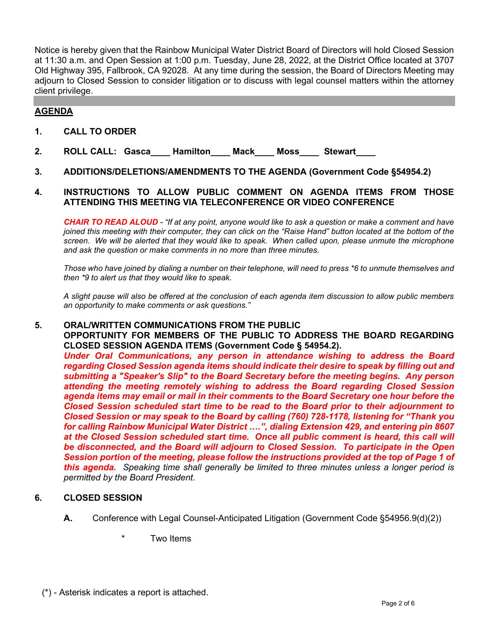Notice is hereby given that the Rainbow Municipal Water District Board of Directors will hold Closed Session at 11:30 a.m. and Open Session at 1:00 p.m. Tuesday, June 28, 2022, at the District Office located at 3707 Old Highway 395, Fallbrook, CA 92028. At any time during the session, the Board of Directors Meeting may adjourn to Closed Session to consider litigation or to discuss with legal counsel matters within the attorney client privilege.

## **AGENDA**

## **1. CALL TO ORDER**

- **2. ROLL CALL: Gasca\_\_\_\_ Hamilton\_\_\_\_ Mack\_\_\_\_ Moss\_\_\_\_ Stewart\_\_\_\_**
- **3. ADDITIONS/DELETIONS/AMENDMENTS TO THE AGENDA (Government Code §54954.2)**

### **4. INSTRUCTIONS TO ALLOW PUBLIC COMMENT ON AGENDA ITEMS FROM THOSE ATTENDING THIS MEETING VIA TELECONFERENCE OR VIDEO CONFERENCE**

*CHAIR TO READ ALOUD - "If at any point, anyone would like to ask a question or make a comment and have joined this meeting with their computer, they can click on the "Raise Hand" button located at the bottom of the screen. We will be alerted that they would like to speak. When called upon, please unmute the microphone and ask the question or make comments in no more than three minutes.* 

*Those who have joined by dialing a number on their telephone, will need to press \*6 to unmute themselves and then \*9 to alert us that they would like to speak.*

*A slight pause will also be offered at the conclusion of each agenda item discussion to allow public members an opportunity to make comments or ask questions."*

#### **5. ORAL/WRITTEN COMMUNICATIONS FROM THE PUBLIC**

**OPPORTUNITY FOR MEMBERS OF THE PUBLIC TO ADDRESS THE BOARD REGARDING CLOSED SESSION AGENDA ITEMS (Government Code § 54954.2).**

*Under Oral Communications, any person in attendance wishing to address the Board regarding Closed Session agenda items should indicate their desire to speak by filling out and submitting a "Speaker's Slip" to the Board Secretary before the meeting begins. Any person attending the meeting remotely wishing to address the Board regarding Closed Session agenda items may email or mail in their comments to the Board Secretary one hour before the Closed Session scheduled start time to be read to the Board prior to their adjournment to Closed Session or may speak to the Board by calling (760) 728-1178, listening for "Thank you for calling Rainbow Municipal Water District ….", dialing Extension 429, and entering pin 8607 at the Closed Session scheduled start time. Once all public comment is heard, this call will be disconnected, and the Board will adjourn to Closed Session. To participate in the Open Session portion of the meeting, please follow the instructions provided at the top of Page 1 of this agenda. Speaking time shall generally be limited to three minutes unless a longer period is permitted by the Board President.* 

### **6. CLOSED SESSION**

- **A.** Conference with Legal Counsel-Anticipated Litigation (Government Code §54956.9(d)(2))
	- Two Items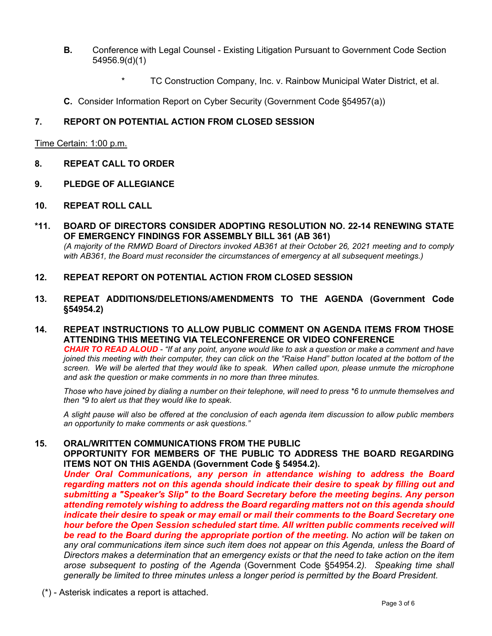- **B.** Conference with Legal Counsel Existing Litigation Pursuant to Government Code Section 54956.9(d)(1)
	- \* TC Construction Company, Inc. v. Rainbow Municipal Water District, et al.
- **C.** Consider Information Report on Cyber Security (Government Code §54957(a))

### **7. REPORT ON POTENTIAL ACTION FROM CLOSED SESSION**

Time Certain: 1:00 p.m.

- **8. REPEAT CALL TO ORDER**
- **9. PLEDGE OF ALLEGIANCE**
- **10. REPEAT ROLL CALL**
- **\*11. BOARD OF DIRECTORS CONSIDER ADOPTING RESOLUTION NO. 22-14 RENEWING STATE OF EMERGENCY FINDINGS FOR ASSEMBLY BILL 361 (AB 361)** *(A majority of the RMWD Board of Directors invoked AB361 at their October 26, 2021 meeting and to comply with AB361, the Board must reconsider the circumstances of emergency at all subsequent meetings.)*
- **12. REPEAT REPORT ON POTENTIAL ACTION FROM CLOSED SESSION**

*and ask the question or make comments in no more than three minutes.* 

- **13. REPEAT ADDITIONS/DELETIONS/AMENDMENTS TO THE AGENDA (Government Code §54954.2)**
- **14. REPEAT INSTRUCTIONS TO ALLOW PUBLIC COMMENT ON AGENDA ITEMS FROM THOSE ATTENDING THIS MEETING VIA TELECONFERENCE OR VIDEO CONFERENCE** *CHAIR TO READ ALOUD - "If at any point, anyone would like to ask a question or make a comment and have joined this meeting with their computer, they can click on the "Raise Hand" button located at the bottom of the screen. We will be alerted that they would like to speak. When called upon, please unmute the microphone*

*Those who have joined by dialing a number on their telephone, will need to press \*6 to unmute themselves and then \*9 to alert us that they would like to speak.*

*A slight pause will also be offered at the conclusion of each agenda item discussion to allow public members an opportunity to make comments or ask questions."*

# **15. ORAL/WRITTEN COMMUNICATIONS FROM THE PUBLIC OPPORTUNITY FOR MEMBERS OF THE PUBLIC TO ADDRESS THE BOARD REGARDING**

**ITEMS NOT ON THIS AGENDA (Government Code § 54954.2).** *Under Oral Communications, any person in attendance wishing to address the Board regarding matters not on this agenda should indicate their desire to speak by filling out and submitting a "Speaker's Slip" to the Board Secretary before the meeting begins. Any person attending remotely wishing to address the Board regarding matters not on this agenda should indicate their desire to speak or may email or mail their comments to the Board Secretary one hour before the Open Session scheduled start time. All written public comments received will be read to the Board during the appropriate portion of the meeting. No action will be taken on any oral communications item since such item does not appear on this Agenda, unless the Board of Directors makes a determination that an emergency exists or that the need to take action on the item arose subsequent to posting of the Agenda* (Government Code §54954.2*). Speaking time shall generally be limited to three minutes unless a longer period is permitted by the Board President.* 

(\*) - Asterisk indicates a report is attached.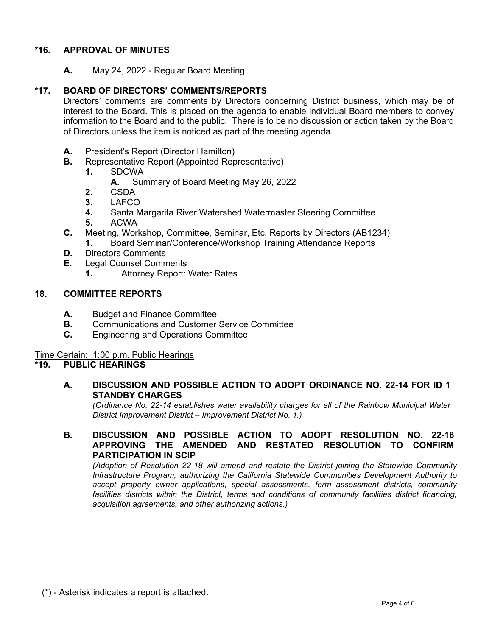## **\*16. APPROVAL OF MINUTES**

**A.** May 24, 2022 - Regular Board Meeting

# **\*17. BOARD OF DIRECTORS' COMMENTS/REPORTS**

Directors' comments are comments by Directors concerning District business, which may be of interest to the Board. This is placed on the agenda to enable individual Board members to convey information to the Board and to the public. There is to be no discussion or action taken by the Board of Directors unless the item is noticed as part of the meeting agenda.

- **A.** President's Report (Director Hamilton)
- **B.** Representative Report (Appointed Representative)
	- **1.** SDCWA
	- **A.** Summary of Board Meeting May 26, 2022<br>**2.** CSDA
	- **2.** CSDA
	-
	- **3.** LAFCO<br>**4.** Santa M  **4.** Santa Margarita River Watershed Watermaster Steering Committee
	- **5.** ACWA
- **C.** Meeting, Workshop, Committee, Seminar, Etc. Reports by Directors (AB1234)
	- **1.** Board Seminar/Conference/Workshop Training Attendance Reports
- **D.** Directors Comments
- **E.** Legal Counsel Comments
	- **1.** Attorney Report: Water Rates

### **18. COMMITTEE REPORTS**

- **A.** Budget and Finance Committee
- **B.** Communications and Customer Service Committee<br>**C.** Fngineering and Operations Committee
- **C.** Engineering and Operations Committee

#### Time Certain: 1:00 p.m. Public Hearings

### **\*19. PUBLIC HEARINGS**

### **A. DISCUSSION AND POSSIBLE ACTION TO ADOPT ORDINANCE NO. 22-14 FOR ID 1 STANDBY CHARGES**

*(Ordinance No. 22-14 establishes water availability charges for all of the Rainbow Municipal Water District Improvement District – Improvement District No. 1.)*

### **B. DISCUSSION AND POSSIBLE ACTION TO ADOPT RESOLUTION NO. 22-18 APPROVING THE AMENDED AND RESTATED RESOLUTION TO CONFIRM PARTICIPATION IN SCIP**

*(Adoption of Resolution 22-18 will amend and restate the District joining the Statewide Community Infrastructure Program, authorizing the California Statewide Communities Development Authority to accept property owner applications, special assessments, form assessment districts, community*  facilities districts within the District, terms and conditions of community facilities district financing, *acquisition agreements, and other authorizing actions.)*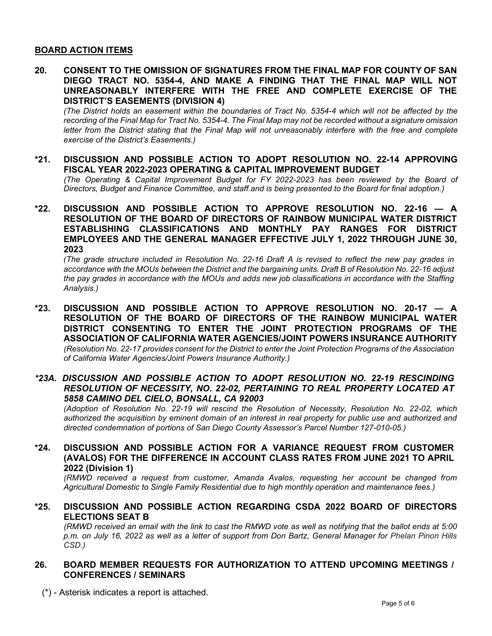#### **BOARD ACTION ITEMS**

**20. CONSENT TO THE OMISSION OF SIGNATURES FROM THE FINAL MAP FOR COUNTY OF SAN DIEGO TRACT NO. 5354-4, AND MAKE A FINDING THAT THE FINAL MAP WILL NOT UNREASONABLY INTERFERE WITH THE FREE AND COMPLETE EXERCISE OF THE DISTRICT'S EASEMENTS (DIVISION 4)**

 *(The District holds an easement within the boundaries of Tract No. 5354-4 which will not be affected by the recording of the Final Map for Tract No. 5354-4. The Final Map may not be recorded without a signature omission letter from the District stating that the Final Map will not unreasonably interfere with the free and complete exercise of the District's Easements.)* 

- **\*21. DISCUSSION AND POSSIBLE ACTION TO ADOPT RESOLUTION NO. 22-14 APPROVING FISCAL YEAR 2022-2023 OPERATING & CAPITAL IMPROVEMENT BUDGET** *(The Operating & Capital Improvement Budget for FY 2022-2023 has been reviewed by the Board of Directors, Budget and Finance Committee, and staff and is being presented to the Board for final adoption.)*
- **\*22. DISCUSSION AND POSSIBLE ACTION TO APPROVE RESOLUTION NO. 22-16 A RESOLUTION OF THE BOARD OF DIRECTORS OF RAINBOW MUNICIPAL WATER DISTRICT ESTABLISHING CLASSIFICATIONS AND MONTHLY PAY RANGES FOR DISTRICT EMPLOYEES AND THE GENERAL MANAGER EFFECTIVE JULY 1, 2022 THROUGH JUNE 30, 2023**

 *(The grade structure included in Resolution No. 22-16 Draft A is revised to reflect the new pay grades in accordance with the MOUs between the District and the bargaining units. Draft B of Resolution No. 22-16 adjust the pay grades in accordance with the MOUs and adds new job classifications in accordance with the Staffing Analysis.)* 

- **\*23. DISCUSSION AND POSSIBLE ACTION TO APPROVE RESOLUTION NO. 20-17 A RESOLUTION OF THE BOARD OF DIRECTORS OF THE RAINBOW MUNICIPAL WATER DISTRICT CONSENTING TO ENTER THE JOINT PROTECTION PROGRAMS OF THE ASSOCIATION OF CALIFORNIA WATER AGENCIES/JOINT POWERS INSURANCE AUTHORITY** *(Resolution No. 22-17 provides consent for the District to enter the Joint Protection Programs of the Association of California Water Agencies/Joint Powers Insurance Authority.)*
- *\*23A. DISCUSSION AND POSSIBLE ACTION TO ADOPT RESOLUTION NO. 22-19 RESCINDING RESOLUTION OF NECESSITY, NO. 22-02, PERTAINING TO REAL PROPERTY LOCATED AT 5858 CAMINO DEL CIELO, BONSALL, CA 92003*

*(Adoption of Resolution No. 22-19 will rescind the Resolution of Necessity, Resolution No. 22-02, which*  authorized the acquisition by eminent domain of an interest in real property for public use and authorized and *directed condemnation of portions of San Diego County Assessor's Parcel Number 127-010-05.)* 

**\*24. DISCUSSION AND POSSIBLE ACTION FOR A VARIANCE REQUEST FROM CUSTOMER (AVALOS) FOR THE DIFFERENCE IN ACCOUNT CLASS RATES FROM JUNE 2021 TO APRIL 2022 (Division 1)**

*(RMWD received a request from customer, Amanda Avalos, requesting her account be changed from Agricultural Domestic to Single Family Residential due to high monthly operation and maintenance fees.)*

**\*25. DISCUSSION AND POSSIBLE ACTION REGARDING CSDA 2022 BOARD OF DIRECTORS ELECTIONS SEAT B**

*(RMWD received an email with the link to cast the RMWD vote as well as notifying that the ballot ends at 5:00 p.m. on July 16, 2022 as well as a letter of support from Don Bartz, General Manager for Phelan Pinon Hills CSD.)*

#### **26. BOARD MEMBER REQUESTS FOR AUTHORIZATION TO ATTEND UPCOMING MEETINGS / CONFERENCES / SEMINARS**

(\*) - Asterisk indicates a report is attached.